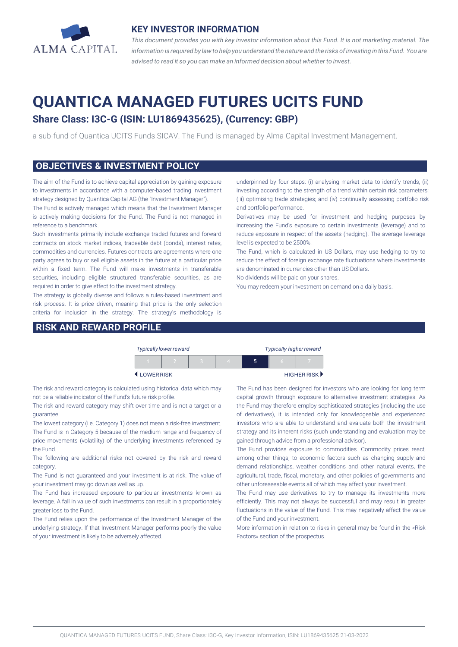

#### **KEY INVESTOR INFORMATION**

*This document provides you with key investor information about this Fund. It is not marketing material. The* information is required by law to help you understand the nature and the risks of investing in this Fund. You are *advised to read it so you can make an informed decision about whether to invest.*

# **QUANTICA MANAGED FUTURES UCITS FUND**

## **Share Class: I3C-G (ISIN: LU1869435625), (Currency: GBP)**

a sub-fund of Quantica UCITS Funds SICAV. The Fund is managed by Alma Capital Investment Management.

#### **OBJECTIVES & INVESTMENT POLICY**

The aim of the Fund is to achieve capital appreciation by gaining exposure to investments in accordance with a computer-based trading investment strategy designed by Quantica Capital AG (the "Investment Manager").

The Fund is actively managed which means that the Investment Manager is actively making decisions for the Fund. The Fund is not managed in reference to a benchmark.

Such investments primarily include exchange traded futures and forward contracts on stock market indices, tradeable debt (bonds), interest rates, commodities and currencies. Futures contracts are agreements where one party agrees to buy or sell eligible assets in the future at a particular price within a fixed term. The Fund will make investments in transferable securities, including eligible structured transferable securities, as are required in order to give effect to the investment strategy.

The strategy is globally diverse and follows a rules-based investment and risk process. It is price driven, meaning that price is the only selection criteria for inclusion in the strategy. The strategy's methodology is

#### **RISK AND REWARD PROFILE**

underpinned by four steps: (i) analysing market data to identify trends; (ii) investing according to the strength of a trend within certain risk parameters; (iii) optimising trade strategies; and (iv) continually assessing portfolio risk and portfolio performance.

Derivatives may be used for investment and hedging purposes by increasing the Fund's exposure to certain investments (leverage) and to reduce exposure in respect of the assets (hedging). The average leverage level is expected to be 2500%.

The Fund, which is calculated in US Dollars, may use hedging to try to reduce the effect of foreign exchange rate fluctuations where investments are denominated in currencies other than US Dollars.

No dividends will be paid on your shares.

You may redeem your investment on demand on a daily basis.

|           | <b>Typically lower reward</b> |  |  | <b>Typically higher reward</b> |             |  |  |
|-----------|-------------------------------|--|--|--------------------------------|-------------|--|--|
|           |                               |  |  | ה                              | n           |  |  |
| LOWERRISK |                               |  |  |                                | HIGHER RISK |  |  |

The risk and reward category is calculated using historical data which may not be a reliable indicator of the Fund's future risk profile.

The risk and reward category may shift over time and is not a target or a guarantee.

The lowest category (i.e. Category 1) does not mean a risk-free investment. The Fund is in Category 5 because of the medium range and frequency of price movements (volatility) of the underlying investments referenced by the Fund.

The following are additional risks not covered by the risk and reward category.

The Fund is not guaranteed and your investment is at risk. The value of your investment may go down as well as up.

The Fund has increased exposure to particular investments known as leverage. A fall in value of such investments can result in a proportionately greater loss to the Fund.

The Fund relies upon the performance of the Investment Manager of the underlying strategy. If that Investment Manager performs poorly the value of your investment is likely to be adversely affected.

The Fund has been designed for investors who are looking for long term capital growth through exposure to alternative investment strategies. As the Fund may therefore employ sophisticated strategies (including the use of derivatives), it is intended only for knowledgeable and experienced investors who are able to understand and evaluate both the investment strategy and its inherent risks (such understanding and evaluation may be gained through advice from a professional advisor).

The Fund provides exposure to commodities. Commodity prices react, among other things, to economic factors such as changing supply and demand relationships, weather conditions and other natural events, the agricultural, trade, fiscal, monetary, and other policies of governments and other unforeseeable events all of which may affect your investment.

The Fund may use derivatives to try to manage its investments more efficiently. This may not always be successful and may result in greater fluctuations in the value of the Fund. This may negatively affect the value of the Fund and your investment.

More information in relation to risks in general may be found in the «Risk Factors» section of the prospectus.